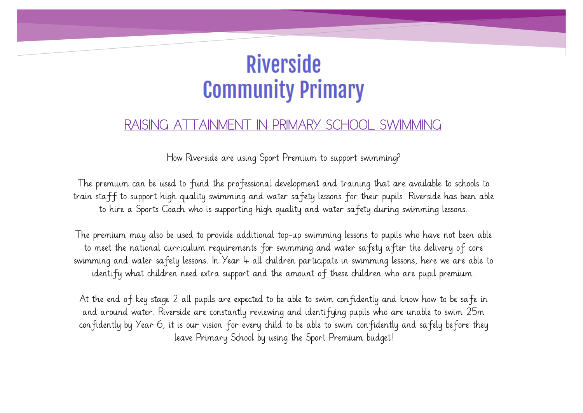## **Riverside Community Primary**

## RAISING ATTAINMENT IN PRIMARY SCHOOL SWIMMING

How Riverside are using Sport Premium to support swimming?

The premium can be used to fund the professional development and training that are available to schools to train staff to support high quality swimming and water safety lessons for their pupils. Riverside has been able to hire a Sports Coach who is supporting high quality and water safety during swimming lessons.

The premium may also be used to provide additional top-up swimming lessons to pupils who have not been able to meet the national curriculum requirements for swimming and water safety after the delivery of core swimming and water safety lessons. In Year 4 all children participate in swimming lessons, here we are able to identify what children need extra support and the amount of these children who are pupil premium.

At the end of key stage 2 all pupils are expected to be able to swim confidently and know how to be safe in and around water. Riverside are constantly reviewing and identifying pupils who are unable to swim 25m confidently by Year 6, it is our vision for every child to be able to swim confidently and safely before they leave Primary School by using the Sport Premium budget!